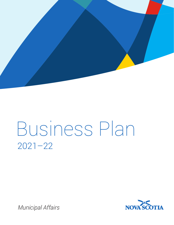

# Business Plan 2021–22

*Municipal Affairs*

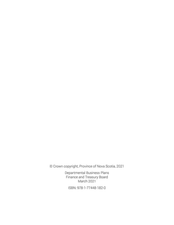© Crown copyright, Province of Nova Scotia, 2021

Departmental Business Plans Finance and Treasury Board March 2021

ISBN: 978-1-77448-182-0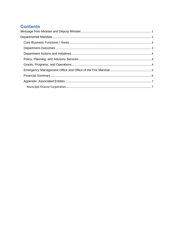## **Contents**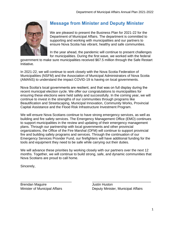

## <span id="page-3-0"></span>**Message from Minister and Deputy Minister**

We are pleased to present the Business Plan for 2021-22 for the Department of Municipal Affairs. The department is committed to supporting and working with municipalities and our partners to ensure Nova Scotia has vibrant, healthy and safe communities.

In the year ahead, the pandemic will continue to present challenges for municipalities. During the first wave, we worked with the federal

government to make sure municipalities received \$67.5 million through the Safe Restart Initiative.

In 2021-22, we will continue to work closely with the Nova Scotia Federation of Municipalities (NSFM) and the Association of Municipal Administrators of Nova Scotia (AMANS) to understand the impact COVID-19 is having on local governments.

Nova Scotia's local governments are resilient, and that was on full display during the recent municipal election cycle. We offer our congratulations to municipalities for ensuring these elections were held safely and successfully. In the coming year, we will continue to invest in the strengths of our communities through programs like Beautification and Streetscaping, Municipal Innovation, Community Works, Provincial Capital Assistance and the Flood Risk Infrastructure Investment Program.

We will ensure Nova Scotians continue to have strong emergency services, as well as building and fire safety services. The Emergency Management Office (EMO) continues to support municipalities in the review and updating of their emergency management plans. Through our partnership with local governments and other provincial organizations, the Office of the Fire Marshal (OFM) will continue to support provincial fire and building safety programs and services. Through the continuation of our Emergency Services Provider Fund, our firefighters will have additional funding for the tools and equipment they need to be safe while carrying out their duties.

We will advance these priorities by working closely with our partners over the next 12 months. Together, we will continue to build strong, safe, and dynamic communities that Nova Scotians are proud to call home.

Sincerely,

 $\overline{\phantom{a}}$  , and the contribution of the contribution of  $\overline{\phantom{a}}$  , and  $\overline{\phantom{a}}$  , and  $\overline{\phantom{a}}$  , and  $\overline{\phantom{a}}$  , and  $\overline{\phantom{a}}$  , and  $\overline{\phantom{a}}$  , and  $\overline{\phantom{a}}$  , and  $\overline{\phantom{a}}$  , and  $\overline{\phantom{a}}$  , and Brendan Maguire **Guide Contracts** Service Superior Justin Huston

Minister of Municipal Affairs **Exercise Server Control** Deputy Minister, Municipal Affairs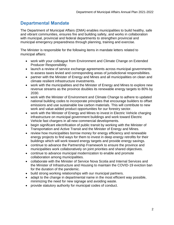### <span id="page-4-0"></span>**Departmental Mandate**

The Department of Municipal Affairs (DMA) enables municipalities to build healthy, safe and vibrant communities, ensures fire and building safety, and works in collaboration with municipal, provincial and federal departments to strengthen provincial and municipal emergency preparedness through planning, training and exercise.

The Minister is responsible for the following items in mandate letters related to municipal affairs:

- work with your colleague from Environment and Climate Change on Extended Producer Responsibility.
- launch a review of service exchange agreements across municipal governments to assess taxes levied and corresponding areas of jurisdictional responsibilities.
- partner with the Minister of Energy and Mines and all municipalities on clean and climate resilient infrastructure investments.
- work with the municipalities and the Minister of Energy and Mines to explore new revenue streams as the province doubles its renewable energy targets to 80% by 2030.
- work with the Minister of Environment and Climate Change to adhere to updated national building codes to incorporate principles that encourage builders to offset emissions and use sustainable low carbon materials. This will contribute to new work and value-added product opportunities for our forestry sector.
- work with the Minister of Energy and Mines to invest in Electric Vehicle charging infrastructure on municipal government buildings and work toward Electric Vehicle fast chargers in all new commercial developments.
- begin significant electrification of public transit by working with the Minister of Transportation and Active Transit and the Minister of Energy and Mines.
- review how municipalities borrow money for energy efficiency and renewable energy projects to find ways for them to invest in deep energy retrofits for their buildings which will work toward energy targets and provide energy savings.
- continue to advance the Partnership Framework to ensure the province and municipalities work collaboratively on joint priorities and shared objectives.
- continue to advance municipal modernization to enable and promote collaboration among municipalities.
- collaborate with the Minister of Service Nova Scotia and Internal Services and the Minister of Infrastructure and Housing to maintain the COVID-19 eviction ban for the duration of the pandemic.
- build strong working relationships with our municipal partners.
- adapt to the change in departmental name in the most efficient way possible, minimizing the need for new signage and avoiding waste.
- provide statutory authority for municipal codes of conduct.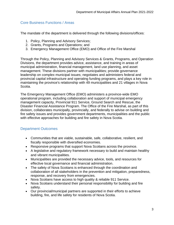#### <span id="page-5-0"></span>Core Business Functions / Areas

The mandate of the department is delivered through the following divisions/offices:

- 1. Policy, Planning and Advisory Services;
- 2. Grants, Programs and Operations; and
- 3. Emergency Management Office (EMO) and Office of the Fire Marshal

Through the Policy, Planning and Advisory Services & Grants, Programs, and Operation Divisions, the department provides advice, assistance, and training in areas of municipal administration, financial management, land use planning, and asset management. These divisions partner with municipalities; provide governance leadership on complex municipal issues; negotiates and administers federal and provincial capital infrastructure and operating funding programs, and plays a key role in maintaining the province's relationship with 49 municipalities and 21 villages in Nova Scotia.

The Emergency Management Office (EMO) administers a province-wide EMO operational program, including collaboration and support of municipal emergency management capacity, Provincial 911 Service, Ground Search and Rescue, the Disaster Financial Assistance Program. The Office of the Fire Marshal, as part of this division, collaborates municipally, provincially, and federally to advise on building and fire safety issues and provides government departments, municipalities and the public with effective approaches for building and fire safety in Nova Scotia.

#### <span id="page-5-1"></span>Department Outcomes

- Communities that are viable, sustainable, safe, collaborative, resilient, and fiscally responsible with diversified economies.
- Responsive programs that support Nova Scotians across the province.
- A legislative and regulatory framework necessary to build and maintain healthy and vibrant municipalities.
- Municipalities are provided the necessary advice, tools, and resources for effective local governance and financial administration.
- The safety of Nova Scotians is enhanced through the coordination and collaboration of all stakeholders in the prevention and mitigation, preparedness, response, and recovery from emergencies.
- Nova Scotians have access to high quality & reliable 911 Service.
- Nova Scotians understand their personal responsibility for building and fire safety.
- Our provincial/municipal partners are supported in their efforts to achieve building, fire, and life safety for residents of Nova Scotia.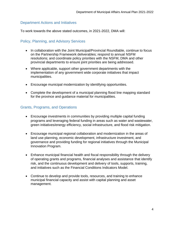#### <span id="page-6-0"></span>Department Actions and Initiatives

To work towards the above stated outcomes, in 2021-2022, DMA will:

#### <span id="page-6-1"></span>Policy, Planning, and Advisory Services

- In collaboration with the Joint Municipal/Provincial Roundtable, continue to focus on the Partnership Framework deliverables; respond to annual NSFM resolutions; and coordinate policy priorities with the NSFM, DMA and other provincial departments to ensure joint priorities are being addressed.
- Where applicable, support other government departments with the implementation of any government wide corporate initiatives that impact municipalities.
- Encourage municipal modernization by identifying opportunities.
- Complete the development of a municipal planning flood line mapping standard for the province and guidance material for municipalities.

#### <span id="page-6-2"></span>Grants, Programs, and Operations

- Encourage investments in communities by providing multiple capital funding programs and leveraging federal funding in areas such as water and wastewater, green initiatives/energy efficiency, social infrastructure, and flood risk mitigation.
- Encourage municipal regional collaboration and modernization in the areas of land use planning, economic development, infrastructure investment, and governance and providing funding for regional initiatives through the Municipal Innovation Program.
- Enhance municipal financial health and fiscal responsibility through the delivery of operating grants and programs, financial analyses and assistance that identify risk, and the continuous development and delivery of tools, supports, training, and initiatives such as the Financial Conditions Indicators Model.
- Continue to develop and provide tools, resources, and training to enhance municipal financial capacity and assist with capital planning and asset management.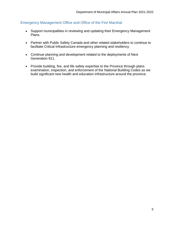#### <span id="page-7-0"></span>Emergency Management Office and Office of the Fire Marshal

- Support municipalities in reviewing and updating their Emergency Management Plans.
- Partner with Public Safety Canada and other related stakeholders to continue to facilitate Critical Infrastructure emergency planning and resiliency.
- Continue planning and development related to the deployments of Next Generation 911.
- Provide building, fire, and life safety expertise to the Province through plans examination, inspection, and enforcement of the National Building Codes as we build significant new health and education infrastructure around the province.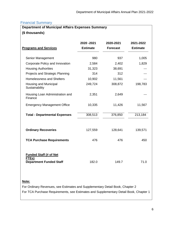#### <span id="page-8-0"></span>Financial Summary

| <b>Department of Municipal Affairs Expenses Summary</b>                  |                                |                              |                              |  |
|--------------------------------------------------------------------------|--------------------------------|------------------------------|------------------------------|--|
| (\$ thousands)                                                           |                                |                              |                              |  |
| <b>Programs and Services</b>                                             | 2020 - 2021<br><b>Estimate</b> | 2020-2021<br><b>Forecast</b> | 2021-2022<br><b>Estimate</b> |  |
| Senior Management                                                        | 980                            | 937                          | 1,005                        |  |
| Corporate Policy and Innovation                                          | 2,584                          | 2,402                        | 1,829                        |  |
| <b>Housing Authorities</b>                                               | 31,323                         | 38,691                       |                              |  |
| Projects and Strategic Planning                                          | 314                            | 312                          |                              |  |
| <b>Homelessness and Shelters</b>                                         | 10,902                         | 11,561                       |                              |  |
| Housing and Municipal<br>Sustainability                                  | 249,724                        | 308,872                      | 198,783                      |  |
| Housing Loan Administration and<br>Finance                               | 2,351                          | 2,649                        |                              |  |
| <b>Emergency Management Office</b>                                       | 10,335                         | 11,426                       | 11,567                       |  |
| <b>Total - Departmental Expenses</b>                                     | 308,513                        | 376,850                      | 213,184                      |  |
| <b>Ordinary Recoveries</b>                                               | 127,559                        | 128,641                      | 139,571                      |  |
| <b>TCA Purchase Requirements</b>                                         | 476                            | 476                          | 450                          |  |
| <b>Funded Staff (# of Net</b><br>FTEs)<br><b>Department Funded Staff</b> | 182.0                          | 149.7                        | 71.0                         |  |

#### **Note:**

For Ordinary Revenues, see Estimates and Supplementary Detail Book, Chapter 2 For TCA Purchase Requirements, see Estimates and Supplementary Detail Book, Chapter 1